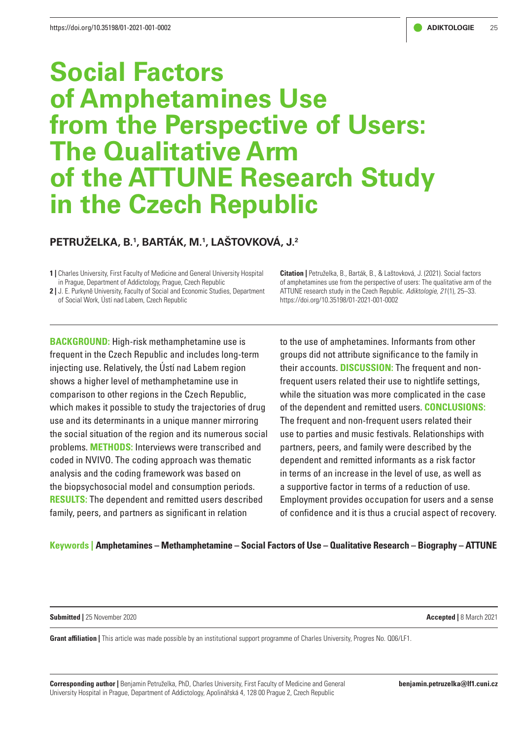# **Social Factors of Amphetamines Use from the Perspective of Users: The Qualitative Arm of the ATTUNE Research Study in the Czech Republic**

# **PETRUŽELKA, B.1 , BARTÁK, M.1 , LAŠTOVKOVÁ, J.2**

**1 |** Charles University, First Faculty of Medicine and General University Hospital in Prague, Department of Addictology, Prague, Czech Republic

**2 |** J. E. Purkyně University, Faculty of Social and Economic Studies, Department of Social Work, Ústí nad Labem, Czech Republic

**Citation |** Petruželka, B., Barták, B., & Laštovková, J. (2021). Social factors of amphetamines use from the perspective of users: The qualitative arm of the ATTUNE research study in the Czech Republic. *Adiktologie, 21* (1), 25–33. https://doi.org/10.35198/01-2021-001-0002

**BACKGROUND:** High-risk methamphetamine use is frequent in the Czech Republic and includes long-term injecting use. Relatively, the Ústí nad Labem region shows a higher level of methamphetamine use in comparison to other regions in the Czech Republic, which makes it possible to study the trajectories of drug use and its determinants in a unique manner mirroring the social situation of the region and its numerous social problems. **METHODS:** Interviews were transcribed and coded in NVIVO. The coding approach was thematic analysis and the coding framework was based on the biopsychosocial model and consumption periods. **RESULTS:** The dependent and remitted users described family, peers, and partners as significant in relation

to the use of amphetamines. Informants from other groups did not attribute significance to the family in their accounts. **DISCUSSION:** The frequent and nonfrequent users related their use to nightlife settings, while the situation was more complicated in the case of the dependent and remitted users. **CONCLUSIONS:** The frequent and non-frequent users related their use to parties and music festivals. Relationships with partners, peers, and family were described by the dependent and remitted informants as a risk factor in terms of an increase in the level of use, as well as a supportive factor in terms of a reduction of use. Employment provides occupation for users and a sense of confidence and it is thus a crucial aspect of recovery.

# **Keywords | Amphetamines – Methamphetamine – Social Factors of Use – Qualitative Research – Biography – ATTUNE**

**Submitted |** 25 November 2020 **Accepted |** 8 March 2021

**Grant affiliation |** This article was made possible by an institutional support programme of Charles University, Progres No. Q06/LF1.

**Corresponding author |** Benjamin Petruželka, PhD, Charles University, First Faculty of Medicine and General University Hospital in Prague, Department of Addictology, Apolinářská 4, 128 00 Prague 2, Czech Republic

**benjamin.petruzelka@lf1.cuni.cz**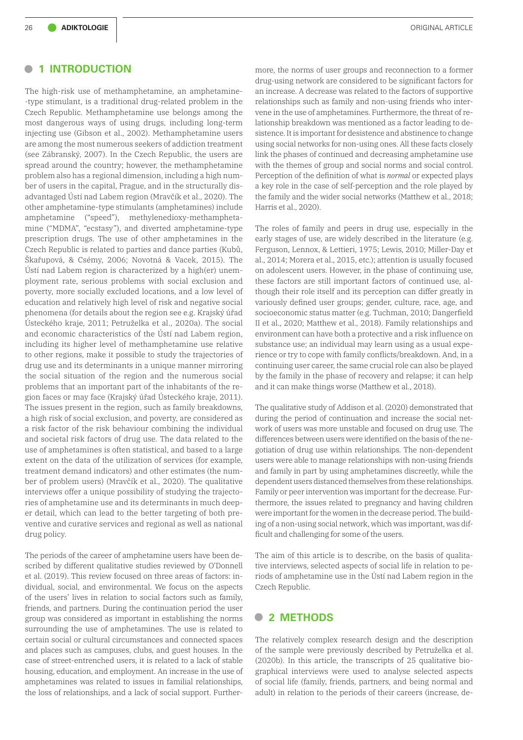# **• <sup>1</sup> INTRODUCTION**

The high-risk use of methamphetamine, an amphetamine- -type stimulant, is a traditional drug-related problem in the Czech Republic. Methamphetamine use belongs among the most dangerous ways of using drugs, including long-term injecting use (Gibson et al., 2002). Methamphetamine users are among the most numerous seekers of addiction treatment (see Zábranský, 2007). In the Czech Republic, the users are spread around the country; however, the methamphetamine problem also has a regional dimension, including a high number of users in the capital, Prague, and in the structurally disadvantaged Ústí nad Labem region (Mravčík et al., 2020). The other amphetamine-type stimulants (amphetamines) include amphetamine ("speed"), methylenedioxy-methamphetamine ("MDMA", "ecstasy"), and diverted amphetamine-type prescription drugs. The use of other amphetamines in the Czech Republic is related to parties and dance parties (Kubů, Škařupová, & Csémy, 2006; Novotná & Vacek, 2015). The Ústí nad Labem region is characterized by a high(er) unemployment rate, serious problems with social exclusion and poverty, more socially excluded locations, and a low level of education and relatively high level of risk and negative social phenomena (for details about the region see e.g. Krajský úřad Ústeckého kraje, 2011; Petruželka et al., 2020a). The social and economic characteristics of the Ústí nad Labem region, including its higher level of methamphetamine use relative to other regions, make it possible to study the trajectories of drug use and its determinants in a unique manner mirroring the social situation of the region and the numerous social problems that an important part of the inhabitants of the region faces or may face (Krajský úřad Ústeckého kraje, 2011). The issues present in the region, such as family breakdowns, a high risk of social exclusion, and poverty, are considered as a risk factor of the risk behaviour combining the individual and societal risk factors of drug use. The data related to the use of amphetamines is often statistical, and based to a large extent on the data of the utilization of services (for example, treatment demand indicators) and other estimates (the number of problem users) (Mravčík et al., 2020). The qualitative interviews offer a unique possibility of studying the trajectories of amphetamine use and its determinants in much deeper detail, which can lead to the better targeting of both preventive and curative services and regional as well as national drug policy.

The periods of the career of amphetamine users have been described by different qualitative studies reviewed by O'Donnell et al. (2019). This review focused on three areas of factors: individual, social, and environmental. We focus on the aspects of the users' lives in relation to social factors such as family, friends, and partners. During the continuation period the user group was considered as important in establishing the norms surrounding the use of amphetamines. The use is related to certain social or cultural circumstances and connected spaces and places such as campuses, clubs, and guest houses. In the case of street-entrenched users, it is related to a lack of stable housing, education, and employment. An increase in the use of amphetamines was related to issues in familial relationships, the loss of relationships, and a lack of social support. Furthermore, the norms of user groups and reconnection to a former drug-using network are considered to be significant factors for an increase. A decrease was related to the factors of supportive relationships such as family and non-using friends who intervene in the use of amphetamines. Furthermore, the threat of relationship breakdown was mentioned as a factor leading to desistence. It is important for desistence and abstinence to change using social networks for non-using ones. All these facts closely link the phases of continued and decreasing amphetamine use with the themes of group and social norms and social control. Perception of the definition of what is *normal* or expected plays a key role in the case of self-perception and the role played by the family and the wider social networks (Matthew et al., 2018; Harris et al., 2020).

The roles of family and peers in drug use, especially in the early stages of use, are widely described in the literature (e.g. Ferguson, Lennox, & Lettieri, 1975; Lewis, 2010; Miller-Day et al., 2014; Morera et al., 2015, etc.); attention is usually focused on adolescent users. However, in the phase of continuing use, these factors are still important factors of continued use, although their role itself and its perception can differ greatly in variously defined user groups; gender, culture, race, age, and socioeconomic status matter (e.g. Tuchman, 2010; Dangerfield II et al., 2020; Matthew et al., 2018). Family relationships and environment can have both a protective and a risk influence on substance use; an individual may learn using as a usual experience or try to cope with family conflicts/breakdown. And, in a continuing user career, the same crucial role can also be played by the family in the phase of recovery and relapse; it can help and it can make things worse (Matthew et al., 2018).

The qualitative study of Addison et al. (2020) demonstrated that during the period of continuation and increase the social network of users was more unstable and focused on drug use. The differences between users were identified on the basis of the negotiation of drug use within relationships. The non-dependent users were able to manage relationships with non-using friends and family in part by using amphetamines discreetly, while the dependent users distanced themselves from these relationships. Family or peer intervention was important for the decrease. Furthermore, the issues related to pregnancy and having children were important for the women in the decrease period. The building of a non-using social network, which was important, was difficult and challenging for some of the users.

The aim of this article is to describe, on the basis of qualitative interviews, selected aspects of social life in relation to periods of amphetamine use in the Ústí nad Labem region in the Czech Republic.

# **• <sup>2</sup> METHODS**

The relatively complex research design and the description of the sample were previously described by Petruželka et al. (2020b). In this article, the transcripts of 25 qualitative biographical interviews were used to analyse selected aspects of social life (family, friends, partners, and being normal and adult) in relation to the periods of their careers (increase, de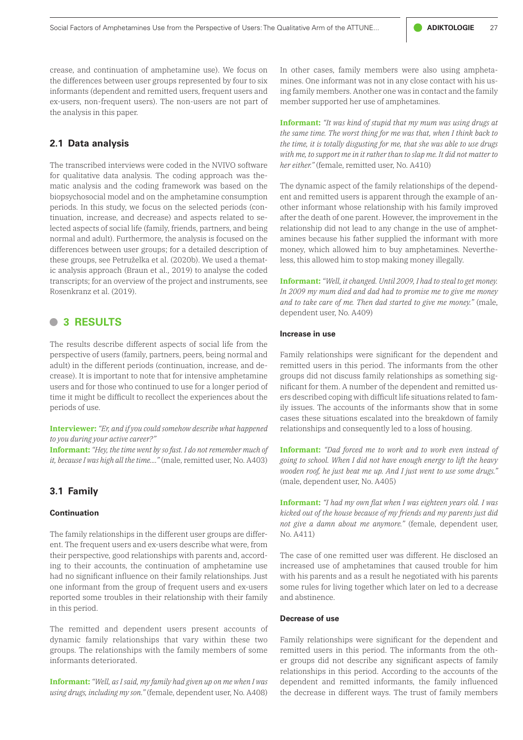crease, and continuation of amphetamine use). We focus on the differences between user groups represented by four to six informants (dependent and remitted users, frequent users and ex-users, non-frequent users). The non-users are not part of the analysis in this paper.

# **2.1 Data analysis**

The transcribed interviews were coded in the NVIVO software for qualitative data analysis. The coding approach was thematic analysis and the coding framework was based on the biopsychosocial model and on the amphetamine consumption periods. In this study, we focus on the selected periods (continuation, increase, and decrease) and aspects related to selected aspects of social life (family, friends, partners, and being normal and adult). Furthermore, the analysis is focused on the differences between user groups; for a detailed description of these groups, see Petruželka et al. (2020b). We used a thematic analysis approach (Braun et al., 2019) to analyse the coded transcripts; for an overview of the project and instruments, see Rosenkranz et al. (2019).

# **• <sup>3</sup> RESULTS**

The results describe different aspects of social life from the perspective of users (family, partners, peers, being normal and adult) in the different periods (continuation, increase, and decrease). It is important to note that for intensive amphetamine users and for those who continued to use for a longer period of time it might be difficult to recollect the experiences about the periods of use.

**Interviewer:** *"Er, and if you could somehow describe what happened to you during your active career?"*

**Informant:** *"Hey, the time went by so fast. I do not remember much of it, because I was high all the time...."* (male, remitted user, No. A403)

## **3.1 Family**

### **Continuation**

The family relationships in the different user groups are different. The frequent users and ex-users describe what were, from their perspective, good relationships with parents and, according to their accounts, the continuation of amphetamine use had no significant influence on their family relationships. Just one informant from the group of frequent users and ex-users reported some troubles in their relationship with their family in this period.

The remitted and dependent users present accounts of dynamic family relationships that vary within these two groups. The relationships with the family members of some informants deteriorated.

**Informant:** *"Well, as I said, my family had given up on me when I was using drugs, including my son."* (female, dependent user, No. A408) In other cases, family members were also using amphetamines. One informant was not in any close contact with his using family members. Another one was in contact and the family member supported her use of amphetamines.

**Informant:** *"It was kind of stupid that my mum was using drugs at the same time. The worst thing for me was that, when I think back to the time, it is totally disgusting for me, that she was able to use drugs with me, to support me in it rather than to slap me. It did not matter to her either."* (female, remitted user, No. A410)

The dynamic aspect of the family relationships of the dependent and remitted users is apparent through the example of another informant whose relationship with his family improved after the death of one parent. However, the improvement in the relationship did not lead to any change in the use of amphetamines because his father supplied the informant with more money, which allowed him to buy amphetamines. Nevertheless, this allowed him to stop making money illegally.

**Informant:** *"Well, it changed. Until 2009, I had to steal to get money. In 2009 my mum died and dad had to promise me to give me money and to take care of me. Then dad started to give me money."* (male, dependent user, No. A409)

#### **Increase in use**

Family relationships were significant for the dependent and remitted users in this period. The informants from the other groups did not discuss family relationships as something significant for them. A number of the dependent and remitted users described coping with difficult life situations related to family issues. The accounts of the informants show that in some cases these situations escalated into the breakdown of family relationships and consequently led to a loss of housing.

**Informant:** *"Dad forced me to work and to work even instead of going to school. When I did not have enough energy to lift the heavy wooden roof, he just beat me up. And I just went to use some drugs."* (male, dependent user, No. A405)

**Informant:** *"I had my own flat when I was eighteen years old. I was kicked out of the house because of my friends and my parents just did not give a damn about me anymore."* (female, dependent user, No. A411)

The case of one remitted user was different. He disclosed an increased use of amphetamines that caused trouble for him with his parents and as a result he negotiated with his parents some rules for living together which later on led to a decrease and abstinence.

#### **Decrease of use**

Family relationships were significant for the dependent and remitted users in this period. The informants from the other groups did not describe any significant aspects of family relationships in this period. According to the accounts of the dependent and remitted informants, the family influenced the decrease in different ways. The trust of family members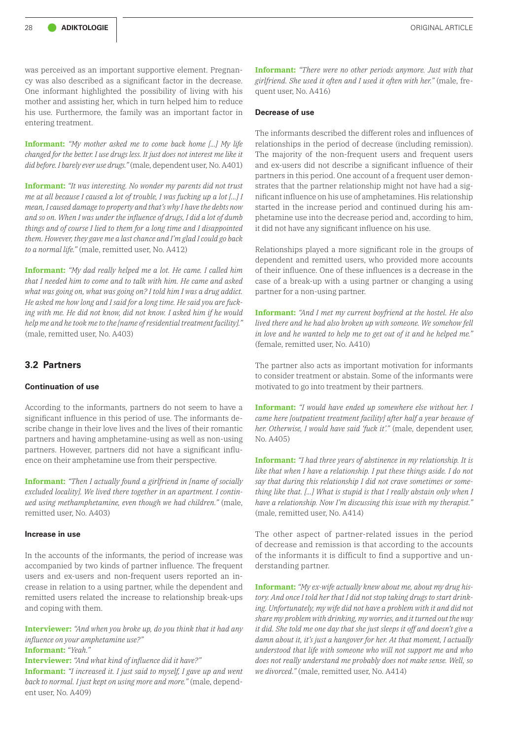was perceived as an important supportive element. Pregnancy was also described as a significant factor in the decrease. One informant highlighted the possibility of living with his mother and assisting her, which in turn helped him to reduce his use. Furthermore, the family was an important factor in entering treatment.

**Informant:** *"My mother asked me to come back home [...] My life changed for the better. I use drugs less. It just does not interest me like it did before. I barely ever use drugs."* (male, dependent user, No. A401)

**Informant:** *"It was interesting. No wonder my parents did not trust me at all because I caused a lot of trouble, I was fucking up a lot [...] I mean, I caused damage to property and that's why I have the debts now and so on. When I was under the influence of drugs, I did a lot of dumb things and of course I lied to them for a long time and I disappointed them. However, they gave me a last chance and I'm glad I could go back to a normal life."* (male, remitted user, No. A412)

**Informant:** *"My dad really helped me a lot. He came. I called him that I needed him to come and to talk with him. He came and asked what was going on, what was going on? I told him I was a drug addict. He asked me how long and I said for a long time. He said you are fucking with me. He did not know, did not know. I asked him if he would help me and he took me to the [name of residential treatment facility]."* (male, remitted user, No. A403)

# **3.2 Partners**

#### **Continuation of use**

According to the informants, partners do not seem to have a significant influence in this period of use. The informants describe change in their love lives and the lives of their romantic partners and having amphetamine-using as well as non-using partners. However, partners did not have a significant influence on their amphetamine use from their perspective.

**Informant:** *"Then I actually found a girlfriend in [name of socially excluded locality]. We lived there together in an apartment. I continued using methamphetamine, even though we had children."* (male, remitted user, No. A403)

#### **Increase in use**

In the accounts of the informants, the period of increase was accompanied by two kinds of partner influence. The frequent users and ex-users and non-frequent users reported an increase in relation to a using partner, while the dependent and remitted users related the increase to relationship break-ups and coping with them.

**Interviewer:** *"And when you broke up, do you think that it had any influence on your amphetamine use?"*

**Informant:** *"Yeah."*

**Interviewer:** *"And what kind of influence did it have?"*

**Informant:** *"I increased it. I just said to myself, I gave up and went back to normal. I just kept on using more and more."* (male, dependent user, No. A409)

**Informant:** *"There were no other periods anymore. Just with that girlfriend. She used it often and I used it often with her."* (male, frequent user, No. A416)

#### **Decrease of use**

The informants described the different roles and influences of relationships in the period of decrease (including remission). The majority of the non-frequent users and frequent users and ex-users did not describe a significant influence of their partners in this period. One account of a frequent user demonstrates that the partner relationship might not have had a significant influence on his use of amphetamines. His relationship started in the increase period and continued during his amphetamine use into the decrease period and, according to him, it did not have any significant influence on his use.

Relationships played a more significant role in the groups of dependent and remitted users, who provided more accounts of their influence. One of these influences is a decrease in the case of a break-up with a using partner or changing a using partner for a non-using partner.

**Informant:** *"And I met my current boyfriend at the hostel. He also lived there and he had also broken up with someone. We somehow fell in love and he wanted to help me to get out of it and he helped me."* (female, remitted user, No. A410)

The partner also acts as important motivation for informants to consider treatment or abstain. Some of the informants were motivated to go into treatment by their partners.

**Informant:** *"I would have ended up somewhere else without her. I came here [outpatient treatment facility] after half a year because of her. Otherwise, I would have said 'fuck it'."* (male, dependent user, No. A405)

**Informant:** *"I had three years of abstinence in my relationship. It is like that when I have a relationship. I put these things aside. I do not say that during this relationship I did not crave sometimes or something like that. [...] What is stupid is that I really abstain only when I have a relationship. Now I'm discussing this issue with my therapist."* (male, remitted user, No. A414)

The other aspect of partner-related issues in the period of decrease and remission is that according to the accounts of the informants it is difficult to find a supportive and understanding partner.

**Informant:** *"My ex-wife actually knew about me, about my drug history. And once I told her that I did not stop taking drugs to start drinking. Unfortunately, my wife did not have a problem with it and did not share my problem with drinking, my worries, and it turned out the way it did. She told me one day that she just sleeps it off and doesn't give a damn about it, it's just a hangover for her. At that moment, I actually understood that life with someone who will not support me and who does not really understand me probably does not make sense. Well, so we divorced."* (male, remitted user, No. A414)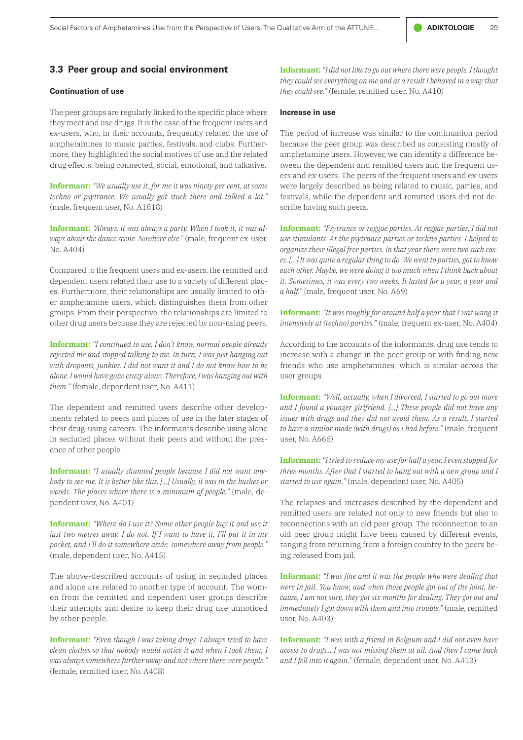# **3.3 Peer group and social environment**

#### **Continuation of use**

The peer groups are regularly linked to the specific place where they meet and use drugs. It is the case of the frequent users and ex-users, who, in their accounts, frequently related the use of amphetamines to music parties, festivals, and clubs. Furthermore, they highlighted the social motives of use and the related drug effects: being connected, social, emotional, and talkative.

**Informant:** *"We usually use it, for me it was ninety per cent, at some techno or psytrance. We usually got stuck there and talked a lot."* (male, frequent user, No. A1818)

**Informant:** *"Always, it was always a party. When I took it, it was always about the dance scene. Nowhere else."* (male, frequent ex-user, No. A404)

Compared to the frequent users and ex-users, the remitted and dependent users related their use to a variety of different places. Furthermore, their relationships are usually limited to other amphetamine users, which distinguishes them from other groups. From their perspective, the relationships are limited to other drug users because they are rejected by non-using peers.

**Informant:** *"I continued to use, I don't know, normal people already rejected me and stopped talking to me. In turn, I was just hanging out with dropouts, junkies. I did not want it and I do not know how to be alone. I would have gone crazy alone. Therefore, I was hanging out with them."* (female, dependent user, No. A411)

The dependent and remitted users describe other developments related to peers and places of use in the later stages of their drug-using careers. The informants describe using alone in secluded places without their peers and without the presence of other people.

**Informant:** *"I usually shunned people because I did not want anybody to see me. It is better like this. [...] Usually, it was in the bushes or woods. The places where there is a minimum of people."* (male, dependent user, No. A401)

**Informant:** *"Where do I use it? Some other people buy it and use it just two metres away. I do not. If I want to have it, I'll put it in my pocket, and I'll do it somewhere aside, somewhere away from people."* (male, dependent user, No. A415)

The above-described accounts of using in secluded places and alone are related to another type of account. The women from the remitted and dependent user groups describe their attempts and desire to keep their drug use unnoticed by other people.

**Informant:** *"Even though I was taking drugs, I always tried to have clean clothes so that nobody would notice it and when I took them, I was always somewhere further away and not where there were people."* (female, remitted user, No. A408)

**Informant:** *"I did not like to go out where there were people. I thought they could see everything on me and as a result I behaved in a way that they could see."* (female, remitted user, No. A410)

#### **Increase in use**

The period of increase was similar to the continuation period because the peer group was described as consisting mostly of amphetamine users. However, we can identify a difference between the dependent and remitted users and the frequent users and ex-users. The peers of the frequent users and ex-users were largely described as being related to music, parties, and festivals, while the dependent and remitted users did not describe having such peers.

**Informant:** *"Psytrance or reggae parties. At reggae parties, I did not use stimulants. At the psytrance parties or techno parties. I helped to organize these illegal free parties. In that year there were two such cases. [...] It was quite a regular thing to do. We went to parties, got to know each other. Maybe, we were doing it too much when I think back about it. Sometimes, it was every two weeks. It lasted for a year, a year and a half."* (male, frequent user, No. A69)

**Informant:** *"It was roughly for around half a year that I was using it intensively at (techno) parties."* (male, frequent ex-user, No. A404)

According to the accounts of the informants, drug use tends to increase with a change in the peer group or with finding new friends who use amphetamines, which is similar across the user groups.

**Informant:** *"Well, actually, when I divorced, I started to go out more and I found a younger girlfriend. [...] These people did not have any issues with drugs and they did not avoid them. As a result, I started to have a similar mode (with drugs) as I had before."* (male, frequent user, No. A666)

**Informant:** *"I tried to reduce my use for half a year. I even stopped for three months. After that I started to hang out with a new group and I started to use again."* (male, dependent user, No. A405)

The relapses and increases described by the dependent and remitted users are related not only to new friends but also to reconnections with an old peer group. The reconnection to an old peer group might have been caused by different events, ranging from returning from a foreign country to the peers being released from jail.

**Informant:** *"I was fine and it was the people who were dealing that were in jail. You know, and when those people got out of the joint, because, I am not sure, they got six months for dealing. They got out and immediately I got down with them and into trouble."* (male, remitted user, No. A403)

**Informant:** *"I was with a friend in Belgium and I did not even have access to drugs… I was not missing them at all. And then I came back and I fell into it again."* (female, dependent user, No. A413)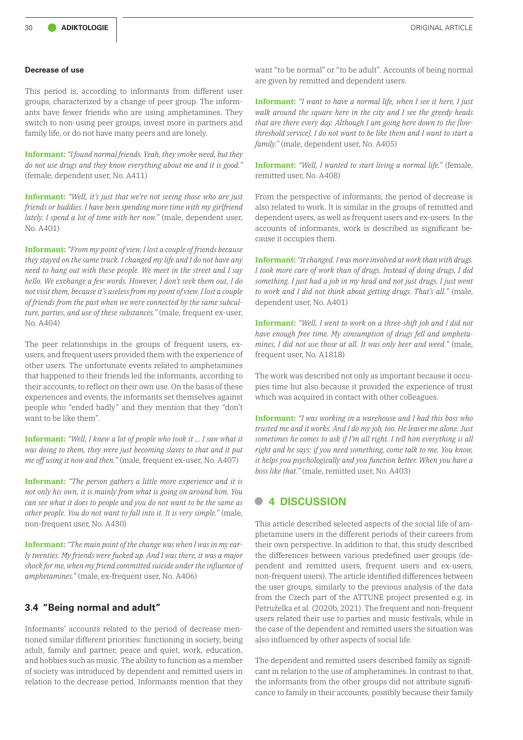#### **Decrease of use**

This period is, according to informants from different user groups, characterized by a change of peer group. The informants have fewer friends who are using amphetamines. They switch to non-using peer groups, invest more in partners and family life, or do not have many peers and are lonely.

**Informant:** *"I found normal friends. Yeah, they smoke weed, but they do not use drugs and they know everything about me and it is good."* (female, dependent user, No. A411)

**Informant:** *"Well, it's just that we're not seeing those who are just friends or buddies. I have been spending more time with my girlfriend lately. I spend a lot of time with her now."* (male, dependent user, No. A401)

**Informant:** *"From my point of view, I lost a couple of friends because they stayed on the same track. I changed my life and I do not have any need to hang out with these people. We meet in the street and I say hello. We exchange a few words. However, I don't seek them out, I do not visit them, because it's useless from my point of view. I lost a couple of friends from the past when we were connected by the same subculture, parties, and use of these substances."* (male, frequent ex-user, No. A404)

The peer relationships in the groups of frequent users, exusers, and frequent users provided them with the experience of other users. The unfortunate events related to amphetamines that happened to their friends led the informants, according to their accounts, to reflect on their own use. On the basis of these experiences and events, the informants set themselves against people who "ended badly" and they mention that they "don't want to be like them".

**Informant:** *"Well, I knew a lot of people who took it ... I saw what it was doing to them, they were just becoming slaves to that and it put me off using it now and then."* (male, frequent ex-user, No. A407)

**Informant:** *"The person gathers a little more experience and it is not only his own, it is mainly from what is going on around him. You can see what it does to people and you do not want to be the same as other people. You do not want to fall into it. It is very simple."* (male, non-frequent user, No. A430)

**Informant:** *"The main point of the change was when I was in my early twenties. My friends were fucked up. And I was there, it was a major shock for me, when my friend committed suicide under the influence of amphetamines."* (male, ex-frequent user, No. A406)

# **3.4 "Being normal and adult"**

Informants' accounts related to the period of decrease mentioned similar different priorities: functioning in society, being adult, family and partner, peace and quiet, work, education, and hobbies such as music. The ability to function as a member of society was introduced by dependent and remitted users in relation to the decrease period. Informants mention that they

want "to be normal" or "to be adult". Accounts of being normal are given by remitted and dependent users.

**Informant:** *"I want to have a normal life, when I see it here, I just walk around the square here in the city and I see the greedy heads that are there every day. Although I am going here down to the [lowthreshold service]. I do not want to be like them and I want to start a family."* (male, dependent user, No. A405)

**Informant:** *"Well, I wanted to start living a normal life."* (female, remitted user, No. A408)

From the perspective of informants, the period of decrease is also related to work. It is similar in the groups of remitted and dependent users, as well as frequent users and ex-users. In the accounts of informants, work is described as significant because it occupies them.

**Informant:** *"It changed. I was more involved at work than with drugs. I took more care of work than of drugs. Instead of doing drugs, I did something. I just had a job in my head and not just drugs. I just went to work and I did not think about getting drugs. That's all."* (male, dependent user, No. A401)

**Informant:** *"Well, I went to work on a three-shift job and I did not have enough free time. My consumption of drugs fell and amphetamines, I did not use those at all. It was only beer and weed."* (male, frequent user, No. A1818)

The work was described not only as important because it occupies time but also because it provided the experience of trust which was acquired in contact with other colleagues.

**Informant:** *"I was working in a warehouse and I had this boss who trusted me and it works. And I do my job, too. He leaves me alone. Just sometimes he comes to ask if I'm all right. I tell him everything is all right and he says: if you need something, come talk to me. You know, it helps you psychologically and you function better. When you have a boss like that."* (male, remitted user, No. A403)

# **• <sup>4</sup> DISCUSSION**

This article described selected aspects of the social life of amphetamine users in the different periods of their careers from their own perspective. In addition to that, this study described the differences between various predefined user groups (dependent and remitted users, frequent users and ex-users, non-frequent users). The article identified differences between the user groups, similarly to the previous analysis of the data from the Czech part of the ATTUNE project presented e.g. in Petruželka et al. (2020b, 2021). The frequent and non-frequent users related their use to parties and music festivals, while in the case of the dependent and remitted users the situation was also influenced by other aspects of social life.

The dependent and remitted users described family as significant in relation to the use of amphetamines. In contrast to that, the informants from the other groups did not attribute significance to family in their accounts, possibly because their family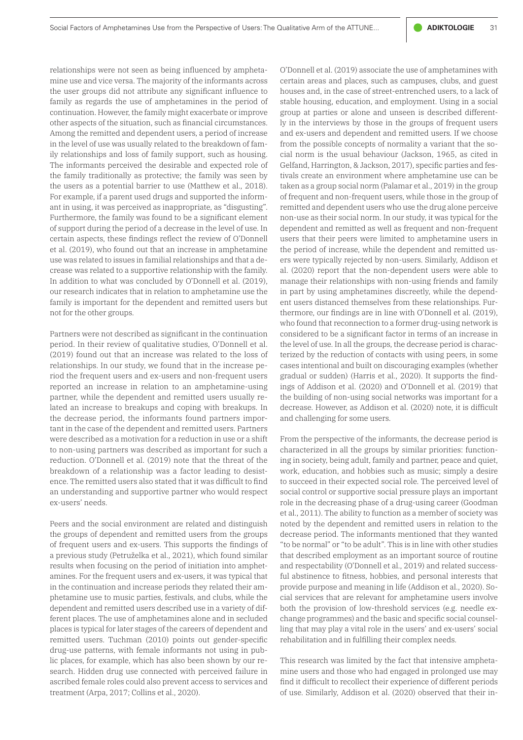relationships were not seen as being influenced by amphetamine use and vice versa. The majority of the informants across the user groups did not attribute any significant influence to family as regards the use of amphetamines in the period of continuation. However, the family might exacerbate or improve other aspects of the situation, such as financial circumstances. Among the remitted and dependent users, a period of increase in the level of use was usually related to the breakdown of family relationships and loss of family support, such as housing. The informants perceived the desirable and expected role of the family traditionally as protective; the family was seen by the users as a potential barrier to use (Matthew et al., 2018). For example, if a parent used drugs and supported the informant in using, it was perceived as inappropriate, as "disgusting". Furthermore, the family was found to be a significant element of support during the period of a decrease in the level of use. In certain aspects, these findings reflect the review of O'Donnell et al. (2019), who found out that an increase in amphetamine use was related to issues in familial relationships and that a decrease was related to a supportive relationship with the family. In addition to what was concluded by O'Donnell et al. (2019), our research indicates that in relation to amphetamine use the family is important for the dependent and remitted users but not for the other groups.

Partners were not described as significant in the continuation period. In their review of qualitative studies, O'Donnell et al. (2019) found out that an increase was related to the loss of relationships. In our study, we found that in the increase period the frequent users and ex-users and non-frequent users reported an increase in relation to an amphetamine-using partner, while the dependent and remitted users usually related an increase to breakups and coping with breakups. In the decrease period, the informants found partners important in the case of the dependent and remitted users. Partners were described as a motivation for a reduction in use or a shift to non-using partners was described as important for such a reduction. O'Donnell et al. (2019) note that the threat of the breakdown of a relationship was a factor leading to desistence. The remitted users also stated that it was difficult to find an understanding and supportive partner who would respect ex-users' needs.

Peers and the social environment are related and distinguish the groups of dependent and remitted users from the groups of frequent users and ex-users. This supports the findings of a previous study (Petruželka et al., 2021), which found similar results when focusing on the period of initiation into amphetamines. For the frequent users and ex-users, it was typical that in the continuation and increase periods they related their amphetamine use to music parties, festivals, and clubs, while the dependent and remitted users described use in a variety of different places. The use of amphetamines alone and in secluded places is typical for later stages of the careers of dependent and remitted users. Tuchman (2010) points out gender-specific drug-use patterns, with female informants not using in public places, for example, which has also been shown by our research. Hidden drug use connected with perceived failure in ascribed female roles could also prevent access to services and treatment (Arpa, 2017; Collins et al., 2020).

O'Donnell et al. (2019) associate the use of amphetamines with certain areas and places, such as campuses, clubs, and guest houses and, in the case of street-entrenched users, to a lack of stable housing, education, and employment. Using in a social group at parties or alone and unseen is described differently in the interviews by those in the groups of frequent users and ex-users and dependent and remitted users. If we choose from the possible concepts of normality a variant that the social norm is the usual behaviour (Jackson, 1965, as cited in Gelfand, Harrington, & Jackson, 2017), specific parties and festivals create an environment where amphetamine use can be taken as a group social norm (Palamar et al., 2019) in the group of frequent and non-frequent users, while those in the group of remitted and dependent users who use the drug alone perceive non-use as their social norm. In our study, it was typical for the dependent and remitted as well as frequent and non-frequent users that their peers were limited to amphetamine users in the period of increase, while the dependent and remitted users were typically rejected by non-users. Similarly, Addison et al. (2020) report that the non-dependent users were able to manage their relationships with non-using friends and family in part by using amphetamines discreetly, while the dependent users distanced themselves from these relationships. Furthermore, our findings are in line with O'Donnell et al. (2019), who found that reconnection to a former drug-using network is considered to be a significant factor in terms of an increase in the level of use. In all the groups, the decrease period is characterized by the reduction of contacts with using peers, in some cases intentional and built on discouraging examples (whether gradual or sudden) (Harris et al., 2020). It supports the findings of Addison et al. (2020) and O'Donnell et al. (2019) that the building of non-using social networks was important for a decrease. However, as Addison et al. (2020) note, it is difficult and challenging for some users.

From the perspective of the informants, the decrease period is characterized in all the groups by similar priorities: functioning in society, being adult, family and partner, peace and quiet, work, education, and hobbies such as music; simply a desire to succeed in their expected social role. The perceived level of social control or supportive social pressure plays an important role in the decreasing phase of a drug-using career (Goodman et al., 2011). The ability to function as a member of society was noted by the dependent and remitted users in relation to the decrease period. The informants mentioned that they wanted "to be normal" or "to be adult". This is in line with other studies that described employment as an important source of routine and respectability (O'Donnell et al., 2019) and related successful abstinence to fitness, hobbies, and personal interests that provide purpose and meaning in life (Addison et al., 2020). Social services that are relevant for amphetamine users involve both the provision of low-threshold services (e.g. needle exchange programmes) and the basic and specific social counselling that may play a vital role in the users' and ex-users' social rehabilitation and in fulfilling their complex needs.

This research was limited by the fact that intensive amphetamine users and those who had engaged in prolonged use may find it difficult to recollect their experience of different periods of use. Similarly, Addison et al. (2020) observed that their in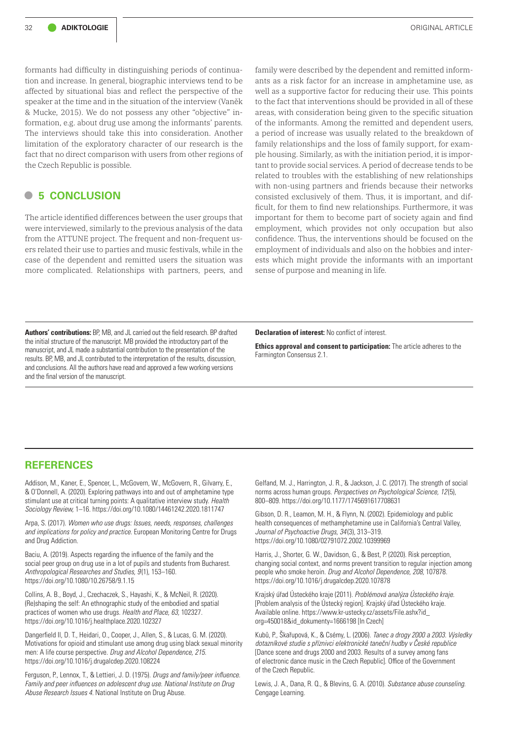formants had difficulty in distinguishing periods of continuation and increase. In general, biographic interviews tend to be affected by situational bias and reflect the perspective of the speaker at the time and in the situation of the interview (Vaněk & Mucke, 2015). We do not possess any other "objective" information, e.g. about drug use among the informants' parents. The interviews should take this into consideration. Another limitation of the exploratory character of our research is the fact that no direct comparison with users from other regions of the Czech Republic is possible.

# **• <sup>5</sup> CONCLUSION**

The article identified differences between the user groups that were interviewed, similarly to the previous analysis of the data from the ATTUNE project. The frequent and non-frequent users related their use to parties and music festivals, while in the case of the dependent and remitted users the situation was more complicated. Relationships with partners, peers, and

family were described by the dependent and remitted informants as a risk factor for an increase in amphetamine use, as well as a supportive factor for reducing their use. This points to the fact that interventions should be provided in all of these areas, with consideration being given to the specific situation of the informants. Among the remitted and dependent users, a period of increase was usually related to the breakdown of family relationships and the loss of family support, for example housing. Similarly, as with the initiation period, it is important to provide social services. A period of decrease tends to be related to troubles with the establishing of new relationships with non-using partners and friends because their networks consisted exclusively of them. Thus, it is important, and difficult, for them to find new relationships. Furthermore, it was important for them to become part of society again and find employment, which provides not only occupation but also confidence. Thus, the interventions should be focused on the employment of individuals and also on the hobbies and interests which might provide the informants with an important sense of purpose and meaning in life.

**Declaration of interest:** No conflict of interest.

**Ethics approval and consent to participation:** The article adheres to the Farmington Consensus 2.1.

**Authors' contributions:** BP, MB, and JL carried out the field research. BP drafted the initial structure of the manuscript. MB provided the introductory part of the manuscript, and JL made a substantial contribution to the presentation of the results. BP, MB, and JL contributed to the interpretation of the results, discussion, and conclusions. All the authors have read and approved a few working versions and the final version of the manuscript.

# **REFERENCES**

Addison, M., Kaner, E., Spencer, L., McGovern, W., McGovern, R., Gilvarry, E., & O'Donnell, A. (2020). Exploring pathways into and out of amphetamine type stimulant use at critical turning points: A qualitative interview study. *Health Sociology Review,* 1–16. https://doi.org/10.1080/14461242.2020.1811747

Arpa, S. (2017). *Women who use drugs: Issues, needs, responses, challenges and implications for policy and practice.* European Monitoring Centre for Drugs and Drug Addiction.

Baciu, A. (2019). Aspects regarding the influence of the family and the social peer group on drug use in a lot of pupils and students from Bucharest. *Anthropological Researches and Studies, 9* (1), 153–160. https://doi.org/10.1080/10.26758/9.1.15

Collins, A. B., Boyd, J., Czechaczek, S., Hayashi, K., & McNeil, R. (2020). (Re)shaping the self: An ethnographic study of the embodied and spatial practices of women who use drugs. *Health and Place, 63,* 102327. https://doi.org/10.1016/j.healthplace.2020.102327

Dangerfield II, D. T., Heidari, O., Cooper, J., Allen, S., & Lucas, G. M. (2020). Motivations for opioid and stimulant use among drug using black sexual minority men: A life course perspective. *Drug and Alcohol Dependence, 215.* https://doi.org/10.1016/j.drugalcdep.2020.108224

Ferguson, P., Lennox, T., & Lettieri, J. D. (1975). *Drugs and family/peer influence. Family and peer influences on adolescent drug use. National Institute on Drug Abuse Research Issues 4.* National Institute on Drug Abuse.

Gelfand, M. J., Harrington, J. R., & Jackson, J. C. (2017). The strength of social norms across human groups. *Perspectives on Psychological Science, 12* (5), 800–809. https://doi.org/10.1177/1745691617708631

Gibson, D. R., Leamon, M. H., & Flynn, N. (2002). Epidemiology and public health consequences of methamphetamine use in California's Central Valley, *Journal of Psychoactive Drugs, 34* (3), 313–319. https://doi.org/10.1080/02791072.2002.10399969

Harris, J., Shorter, G. W., Davidson, G., & Best, P. (2020). Risk perception, changing social context, and norms prevent transition to regular injection among people who smoke heroin. *Drug and Alcohol Dependence, 208,* 107878. https://doi.org/10.1016/j.drugalcdep.2020.107878

Krajský úřad Ústeckého kraje (2011). *Problémová analýza Ústeckého kraje.* [Problem analysis of the Ústecký region]. Krajský úřad Ústeckého kraje. Available online. [https://www.kr-ustecky.cz/assets/File.ashx?id\\_](https://www.kr-ustecky.cz/assets/File.ashx?id_org=450018&id_dokumenty=1666198) [org=450018&id\\_dokumenty=1666198](https://www.kr-ustecky.cz/assets/File.ashx?id_org=450018&id_dokumenty=1666198) [In Czech]

Kubů, P., Škařupová, K., & Csémy, L. (2006). *Tanec a drogy 2000 a 2003. Výsledky dotazníkové studie s příznivci elektronické taneční hudby v České republice* [Dance scene and drugs 2000 and 2003. Results of a survey among fans of electronic dance music in the Czech Republic]. Office of the Government of the Czech Republic.

Lewis, J. A., Dana, R. Q., & Blevins, G. A. (2010). *Substance abuse counseling.*  Cengage Learning.